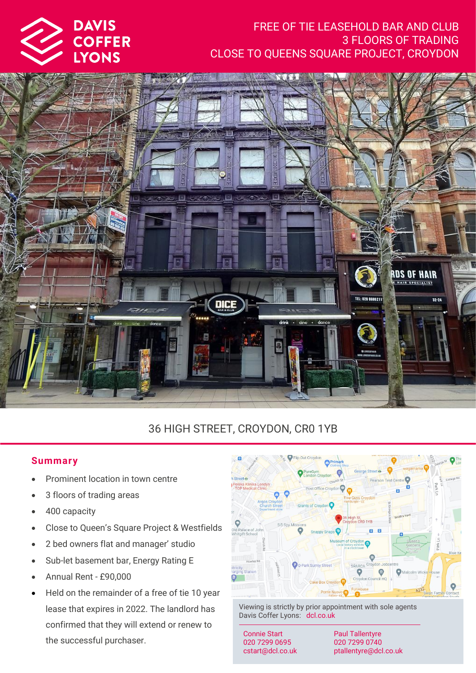

# FREE OF TIE LEASEHOLD BAR AND CLUB 3 FLOORS OF TRADING CLOSE TO QUEENS SQUARE PROJECT, CROYDON



# 36 HIGH STREET, CROYDON, CR0 1YB

## **Summar y**

- Prominent location in town centre
- 3 floors of trading areas
- 400 capacity
- Close to Queen's Square Project & Westfields
- 2 bed owners flat and manager' studio
- Sub-let basement bar, Energy Rating E
- Annual Rent £90,000
- Held on the remainder of a free of tie 10 year lease that expires in 2022. The landlord has confirmed that they will extend or renew to the successful purchaser.



Viewing is strictly by prior appointment with sole agents Davis Coffer Lyons: dcl.co.uk

Connie Start 020 7299 0695 cstart@dcl.co.uk

Paul Tallentyre 020 7299 0740 ptallentyre@dcl.co.uk